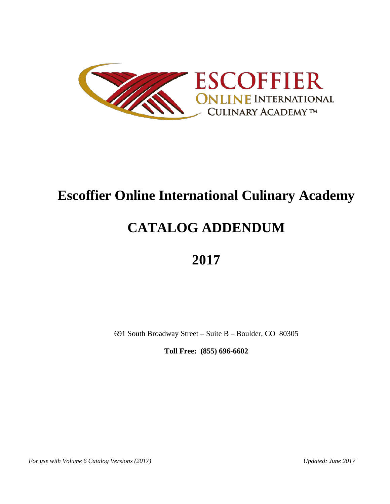

# **Escoffier Online International Culinary Academy**

# **CATALOG ADDENDUM**

# **2017**

691 South Broadway Street – Suite B – Boulder, CO 80305

**Toll Free: (855) 696-6602**

*For use with Volume 6 Catalog Versions (2017) Updated: June 2017*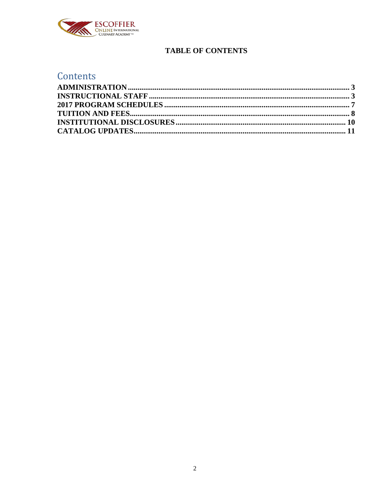

# **TABLE OF CONTENTS**

# Contents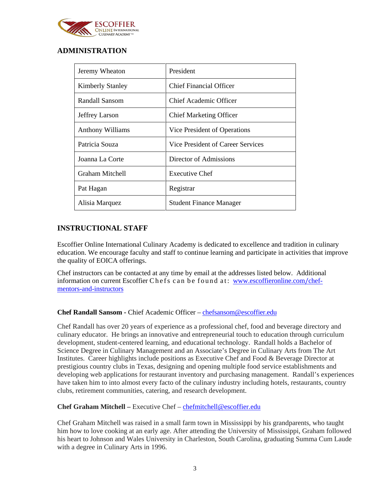

# <span id="page-2-0"></span>**ADMINISTRATION**

| Jeremy Wheaton          | President                         |
|-------------------------|-----------------------------------|
| <b>Kimberly Stanley</b> | <b>Chief Financial Officer</b>    |
| Randall Sansom          | Chief Academic Officer            |
| Jeffrey Larson          | <b>Chief Marketing Officer</b>    |
| <b>Anthony Williams</b> | Vice President of Operations      |
| Patricia Souza          | Vice President of Career Services |
| Joanna La Corte         | Director of Admissions            |
| Graham Mitchell         | <b>Executive Chef</b>             |
| Pat Hagan               | Registrar                         |
| Alisia Marquez          | <b>Student Finance Manager</b>    |

## <span id="page-2-1"></span>**INSTRUCTIONAL STAFF**

Escoffier Online International Culinary Academy is dedicated to excellence and tradition in culinary education. We encourage faculty and staff to continue learning and participate in activities that improve the quality of EOICA offerings.

Chef instructors can be contacted at any time by email at the addresses listed below. Additional information on current Escoffier Chefs can be found at: [www.escoffieronline.com](http://www.escoffieronline.com/chef-mentors-and-instructors)/chef[mentors-and-instructors](http://www.escoffieronline.com/chef-mentors-and-instructors)

#### **Chef Randall Sansom -** Chief Academic Officer – [chefsansom@escoffier.edu](mailto:chefsansom@escoffier.edu)

Chef Randall has over 20 years of experience as a professional chef, food and beverage directory and culinary educator. He brings an innovative and entrepreneurial touch to education through curriculum development, student-centered learning, and educational technology. Randall holds a Bachelor of Science Degree in Culinary Management and an Associate's Degree in Culinary Arts from The Art Institutes. Career highlights include positions as Executive Chef and Food & Beverage Director at prestigious country clubs in Texas, designing and opening multiple food service establishments and developing web applications for restaurant inventory and purchasing management. Randall's experiences have taken him to into almost every facto of the culinary industry including hotels, restaurants, country clubs, retirement communities, catering, and research development.

#### **Chef Graham Mitchell –** Executive Chef – [chefmitchell@escoffier.edu](mailto:chefmitchell@escoffier.edu)

Chef Graham Mitchell was raised in a small farm town in Mississippi by his grandparents, who taught him how to love cooking at an early age. After attending the University of Mississippi, Graham followed his heart to Johnson and Wales University in Charleston, South Carolina, graduating Summa Cum Laude with a degree in Culinary Arts in 1996.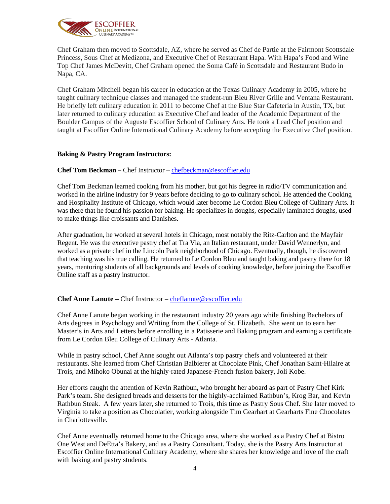

Chef Graham then moved to Scottsdale, AZ, where he served as Chef de Partie at the Fairmont Scottsdale Princess, Sous Chef at Medizona, and Executive Chef of Restaurant Hapa. With Hapa's Food and Wine Top Chef James McDevitt, Chef Graham opened the Soma Café in Scottsdale and Restaurant Budo in Napa, CA.

Chef Graham Mitchell began his career in education at the Texas Culinary Academy in 2005, where he taught culinary technique classes and managed the student-run Bleu River Grille and Ventana Restaurant. He briefly left culinary education in 2011 to become Chef at the Blue Star Cafeteria in Austin, TX, but later returned to culinary education as Executive Chef and leader of the Academic Department of the Boulder Campus of the Auguste Escoffier School of Culinary Arts. He took a Lead Chef position and taught at Escoffier Online International Culinary Academy before accepting the Executive Chef position.

#### **Baking & Pastry Program Instructors:**

#### **Chef Tom Beckman –** Chef Instructor – [chefbeckman@escoffier.edu](mailto:chefbeckman@escoffier.edu)

Chef Tom Beckman learned cooking from his mother, but got his degree in radio/TV communication and worked in the airline industry for 9 years before deciding to go to culinary school. He attended the Cooking and Hospitality Institute of Chicago, which would later become Le Cordon Bleu College of Culinary Arts. It was there that he found his passion for baking. He specializes in doughs, especially laminated doughs, used to make things like croissants and Danishes.

After graduation, he worked at several hotels in Chicago, most notably the Ritz-Carlton and the Mayfair Regent. He was the executive pastry chef at Tra Via, an Italian restaurant, under David Wennerlyn, and worked as a private chef in the Lincoln Park neighborhood of Chicago. Eventually, though, he discovered that teaching was his true calling. He returned to Le Cordon Bleu and taught baking and pastry there for 18 years, mentoring students of all backgrounds and levels of cooking knowledge, before joining the Escoffier Online staff as a pastry instructor.

#### **Chef Anne Lanute –** Chef Instructor – [cheflanute@escoffier.edu](mailto:cheflanute@escoffier.edu)

Chef Anne Lanute began working in the restaurant industry 20 years ago while finishing Bachelors of Arts degrees in Psychology and Writing from the College of St. Elizabeth. She went on to earn her Master's in Arts and Letters before enrolling in a Patisserie and Baking program and earning a certificate from Le Cordon Bleu College of Culinary Arts - Atlanta.

While in pastry school, Chef Anne sought out Atlanta's top pastry chefs and volunteered at their restaurants. She learned from Chef Christian Balbierer at Chocolate Pink, Chef Jonathan Saint-Hilaire at Trois, and Mihoko Obunai at the highly-rated Japanese-French fusion bakery, Joli Kobe.

Her efforts caught the attention of Kevin Rathbun, who brought her aboard as part of Pastry Chef Kirk Park's team. She designed breads and desserts for the highly-acclaimed Rathbun's, Krog Bar, and Kevin Rathbun Steak. A few years later, she returned to Trois, this time as Pastry Sous Chef. She later moved to Virginia to take a position as Chocolatier, working alongside Tim Gearhart at Gearharts Fine Chocolates in Charlottesville.

Chef Anne eventually returned home to the Chicago area, where she worked as a Pastry Chef at Bistro One West and DeEtta's Bakery, and as a Pastry Consultant. Today, she is the Pastry Arts Instructor at Escoffier Online International Culinary Academy, where she shares her knowledge and love of the craft with baking and pastry students.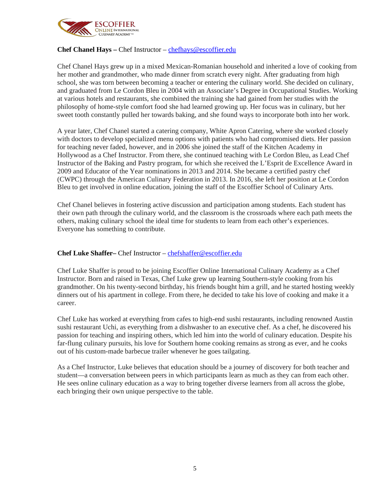

#### **Chef Chanel Hays –** Chef Instructor – [chefhays@escoffier.edu](mailto:chefhays@escoffier.edu)

Chef Chanel Hays grew up in a mixed Mexican-Romanian household and inherited a love of cooking from her mother and grandmother, who made dinner from scratch every night. After graduating from high school, she was torn between becoming a teacher or entering the culinary world. She decided on culinary, and graduated from Le Cordon Bleu in 2004 with an Associate's Degree in Occupational Studies. Working at various hotels and restaurants, she combined the training she had gained from her studies with the philosophy of home-style comfort food she had learned growing up. Her focus was in culinary, but her sweet tooth constantly pulled her towards baking, and she found ways to incorporate both into her work.

A year later, Chef Chanel started a catering company, White Apron Catering, where she worked closely with doctors to develop specialized menu options with patients who had compromised diets. Her passion for teaching never faded, however, and in 2006 she joined the staff of the Kitchen Academy in Hollywood as a Chef Instructor. From there, she continued teaching with Le Cordon Bleu, as Lead Chef Instructor of the Baking and Pastry program, for which she received the L'Esprit de Excellence Award in 2009 and Educator of the Year nominations in 2013 and 2014. She became a certified pastry chef (CWPC) through the American Culinary Federation in 2013. In 2016, she left her position at Le Cordon Bleu to get involved in online education, joining the staff of the Escoffier School of Culinary Arts.

Chef Chanel believes in fostering active discussion and participation among students. Each student has their own path through the culinary world, and the classroom is the crossroads where each path meets the others, making culinary school the ideal time for students to learn from each other's experiences. Everyone has something to contribute.

#### **Chef Luke Shaffer–** Chef Instructor – [chefshaffer@escoffier.edu](mailto:chefshaffer@escoffier.edu)

Chef Luke Shaffer is proud to be joining Escoffier Online International Culinary Academy as a Chef Instructor. Born and raised in Texas, Chef Luke grew up learning Southern-style cooking from his grandmother. On his twenty-second birthday, his friends bought him a grill, and he started hosting weekly dinners out of his apartment in college. From there, he decided to take his love of cooking and make it a career.

Chef Luke has worked at everything from cafes to high-end sushi restaurants, including renowned Austin sushi restaurant Uchi, as everything from a dishwasher to an executive chef. As a chef, he discovered his passion for teaching and inspiring others, which led him into the world of culinary education. Despite his far-flung culinary pursuits, his love for Southern home cooking remains as strong as ever, and he cooks out of his custom-made barbecue trailer whenever he goes tailgating.

As a Chef Instructor, Luke believes that education should be a journey of discovery for both teacher and student—a conversation between peers in which participants learn as much as they can from each other. He sees online culinary education as a way to bring together diverse learners from all across the globe, each bringing their own unique perspective to the table.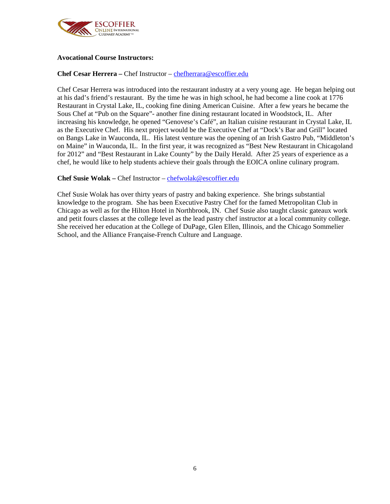

#### **Avocational Course Instructors:**

#### **Chef Cesar Herrera –** Chef Instructor – [chefherrara@escoffier.edu](mailto:chefherrara@escoffier.edu)

Chef Cesar Herrera was introduced into the restaurant industry at a very young age. He began helping out at his dad's friend's restaurant. By the time he was in high school, he had become a line cook at 1776 Restaurant in Crystal Lake, IL, cooking fine dining American Cuisine. After a few years he became the Sous Chef at "Pub on the Square"- another fine dining restaurant located in Woodstock, IL. After increasing his knowledge, he opened "Genovese's Café", an Italian cuisine restaurant in Crystal Lake, IL as the Executive Chef. His next project would be the Executive Chef at "Dock's Bar and Grill" located on Bangs Lake in Wauconda, IL. His latest venture was the opening of an Irish Gastro Pub, "Middleton's on Maine" in Wauconda, IL. In the first year, it was recognized as "Best New Restaurant in Chicagoland for 2012" and "Best Restaurant in Lake County" by the Daily Herald. After 25 years of experience as a chef, he would like to help students achieve their goals through the EOICA online culinary program.

#### **Chef Susie Wolak –** Chef Instructor – [chefwolak@escoffier.edu](mailto:chefwolak@escoffier.edu)

Chef Susie Wolak has over thirty years of pastry and baking experience. She brings substantial knowledge to the program. She has been Executive Pastry Chef for the famed Metropolitan Club in Chicago as well as for the Hilton Hotel in Northbrook, IN. Chef Susie also taught classic gateaux work and petit fours classes at the college level as the lead pastry chef instructor at a local community college. She received her education at the College of DuPage, Glen Ellen, Illinois, and the Chicago Sommelier School, and the Alliance Française-French Culture and Language.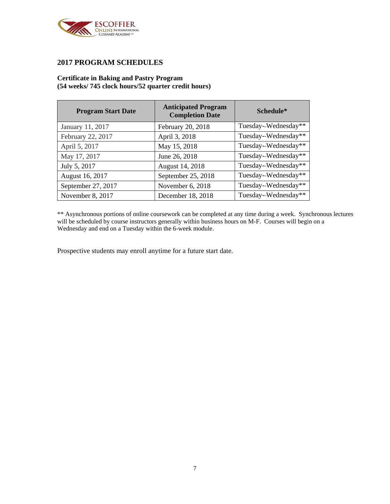

#### <span id="page-6-0"></span>**2017 PROGRAM SCHEDULES**

#### **Certificate in Baking and Pastry Program (54 weeks/ 745 clock hours/52 quarter credit hours)**

| <b>Program Start Date</b> | <b>Anticipated Program</b><br><b>Completion Date</b> | Schedule*            |
|---------------------------|------------------------------------------------------|----------------------|
| January 11, 2017          | February 20, 2018                                    | Tuesday-Wednesday**  |
| February 22, 2017         | April 3, 2018                                        | Tuesday-Wednesday**  |
| April 5, 2017             | May 15, 2018                                         | Tuesday--Wednesday** |
| May 17, 2017              | June 26, 2018                                        | Tuesday-Wednesday**  |
| July 5, 2017              | August 14, 2018                                      | Tuesday-Wednesday**  |
| August 16, 2017           | September 25, 2018                                   | Tuesday-Wednesday**  |
| September 27, 2017        | November 6, 2018                                     | Tuesday-Wednesday**  |
| November 8, 2017          | December 18, 2018                                    | Tuesday-Wednesday**  |

\*\* Asynchronous portions of online coursework can be completed at any time during a week. Synchronous lectures will be scheduled by course instructors generally within business hours on M-F. Courses will begin on a Wednesday and end on a Tuesday within the 6-week module.

Prospective students may enroll anytime for a future start date.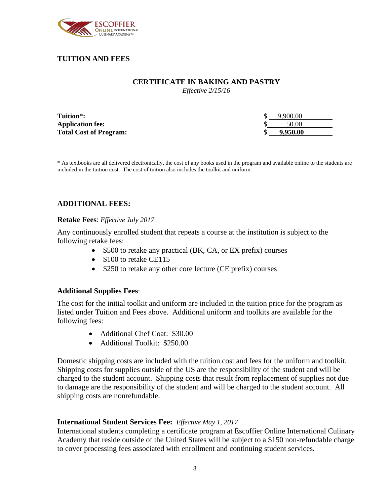

# <span id="page-7-0"></span>**TUITION AND FEES**

#### **CERTIFICATE IN BAKING AND PASTRY**

*Effective 2/15/16*

| Tuition*:                     | 9.900.00 |
|-------------------------------|----------|
| <b>Application fee:</b>       | 50.00    |
| <b>Total Cost of Program:</b> | 9.950.00 |

\* As textbooks are all delivered electronically, the cost of any books used in the program and available online to the students are included in the tuition cost. The cost of tuition also includes the toolkit and uniform.

#### **ADDITIONAL FEES:**

#### **Retake Fees**: *Effective July 2017*

Any continuously enrolled student that repeats a course at the institution is subject to the following retake fees:

- \$500 to retake any practical (BK, CA, or EX prefix) courses
- \$100 to retake CE115
- \$250 to retake any other core lecture (CE prefix) courses

#### **Additional Supplies Fees**:

The cost for the initial toolkit and uniform are included in the tuition price for the program as listed under Tuition and Fees above. Additional uniform and toolkits are available for the following fees:

- Additional Chef Coat: \$30.00
- Additional Toolkit: \$250.00

Domestic shipping costs are included with the tuition cost and fees for the uniform and toolkit. Shipping costs for supplies outside of the US are the responsibility of the student and will be charged to the student account. Shipping costs that result from replacement of supplies not due to damage are the responsibility of the student and will be charged to the student account. All shipping costs are nonrefundable.

#### **International Student Services Fee:** *Effective May 1, 2017*

International students completing a certificate program at Escoffier Online International Culinary Academy that reside outside of the United States will be subject to a \$150 non-refundable charge to cover processing fees associated with enrollment and continuing student services.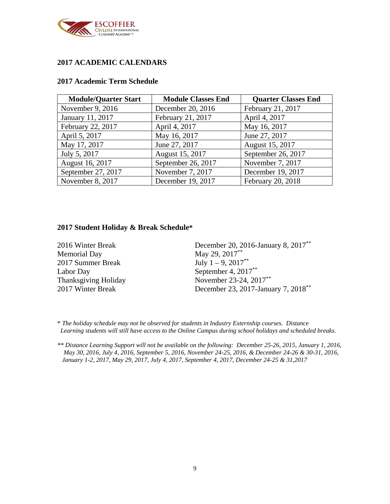

# **2017 ACADEMIC CALENDARS**

#### **2017 Academic Term Schedule**

| <b>Module/Quarter Start</b> | <b>Module Classes End</b> | <b>Quarter Classes End</b> |
|-----------------------------|---------------------------|----------------------------|
| November 9, 2016            | December 20, 2016         | February 21, 2017          |
| January 11, 2017            | February 21, 2017         | April 4, 2017              |
| February 22, 2017           | April 4, 2017             | May 16, 2017               |
| April 5, 2017               | May 16, 2017              | June 27, 2017              |
| May 17, 2017                | June 27, 2017             | August 15, 2017            |
| July 5, 2017                | August 15, 2017           | September 26, 2017         |
| August 16, 2017             | September 26, 2017        | November 7, 2017           |
| September 27, 2017          | November 7, 2017          | December 19, 2017          |
| November 8, 2017            | December 19, 2017         | February 20, 2018          |

#### **2017 Student Holiday & Break Schedule\***

| 2016 Winter Break    | December 20, 2016-January 8, 2017 <sup>**</sup> |
|----------------------|-------------------------------------------------|
| <b>Memorial Day</b>  | May 29, 2017**                                  |
| 2017 Summer Break    | July $1 - 9$ , $2017**$                         |
| Labor Day            | September 4, $2017**$                           |
| Thanksgiving Holiday | November 23-24, 2017**                          |
| 2017 Winter Break    | December 23, 2017-January 7, 2018 <sup>**</sup> |

\* *The holiday schedule may not be observed for students in Industry Externship courses. Distance Learning students will still have access to the Online Campus during school holidays and scheduled breaks.*

*\*\* Distance Learning Support will not be available on the following: December 25-26, 2015, January 1, 2016, May 30, 2016, July 4, 2016, September 5, 2016, November 24-25, 2016, & December 24-26 & 30-31, 2016, January 1-2, 2017, May 29, 2017, July 4, 2017, September 4, 2017, December 24-25 & 31,2017*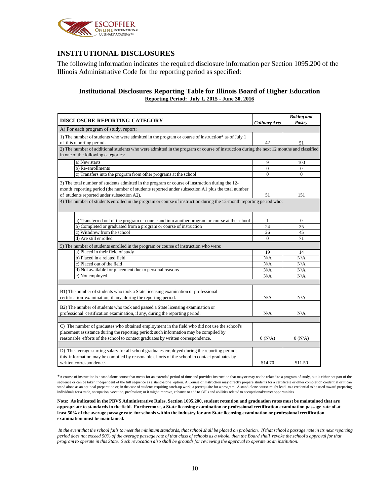

## <span id="page-9-0"></span>**INSTITUTIONAL DISCLOSURES**

The following information indicates the required disclosure information per Section 1095.200 of the Illinois Administrative Code for the reporting period as specified:

#### **Institutional Disclosures Reporting Table for Illinois Board of Higher Education Reporting Period: July 1, 2015 - June 30, 2016**

| DISCLOSURE REPORTING CATEGORY                                                                                                                                                                                                                                                                                                                                              | <b>Culinary Arts</b> | <b>Baking and</b><br>Pastry |
|----------------------------------------------------------------------------------------------------------------------------------------------------------------------------------------------------------------------------------------------------------------------------------------------------------------------------------------------------------------------------|----------------------|-----------------------------|
| A) For each program of study, report:                                                                                                                                                                                                                                                                                                                                      |                      |                             |
| 1) The number of students who were admitted in the program or course of instruction* as of July 1<br>of this reporting period.                                                                                                                                                                                                                                             | 42                   | 51                          |
| 2) The number of additional students who were admitted in the program or course of instruction during the next 12 months and classified<br>in one of the following categories:                                                                                                                                                                                             |                      |                             |
| a) New starts                                                                                                                                                                                                                                                                                                                                                              | 9                    | 100                         |
| b) Re-enrollments                                                                                                                                                                                                                                                                                                                                                          | $\Omega$             | $\Omega$                    |
| c) Transfers into the program from other programs at the school                                                                                                                                                                                                                                                                                                            | $\Omega$             | $\Omega$                    |
| 3) The total number of students admitted in the program or course of instruction during the 12-<br>month reporting period (the number of students reported under subsection A1 plus the total number<br>of students reported under subsection A2).<br>4) The number of students enrolled in the program or course of instruction during the 12-month reporting period who: | 51                   | 151                         |
| a) Transferred out of the program or course and into another program or course at the school                                                                                                                                                                                                                                                                               | 1<br>24              | $\mathbf{0}$<br>35          |
| b) Completed or graduated from a program or course of instruction<br>c) Withdrew from the school                                                                                                                                                                                                                                                                           |                      |                             |
| d) Are still enrolled                                                                                                                                                                                                                                                                                                                                                      | 26<br>$\Omega$       | 45<br>71                    |
|                                                                                                                                                                                                                                                                                                                                                                            |                      |                             |
| 5) The number of students enrolled in the program or course of instruction who were:                                                                                                                                                                                                                                                                                       |                      |                             |
| a) Placed in their field of study                                                                                                                                                                                                                                                                                                                                          | 19                   | 14                          |
| b) Placed in a related field                                                                                                                                                                                                                                                                                                                                               | N/A                  | N/A                         |
| c) Placed out of the field                                                                                                                                                                                                                                                                                                                                                 | N/A                  | N/A                         |
| d) Not available for placement due to personal reasons<br>e) Not employed                                                                                                                                                                                                                                                                                                  | N/A<br>N/A           | N/A<br>N/A                  |
|                                                                                                                                                                                                                                                                                                                                                                            |                      |                             |
| B1) The number of students who took a State licensing examination or professional<br>certification examination, if any, during the reporting period.                                                                                                                                                                                                                       | N/A                  | N/A                         |
| B2) The number of students who took and passed a State licensing examination or<br>professional certification examination, if any, during the reporting period.                                                                                                                                                                                                            | N/A                  | N/A                         |
| C) The number of graduates who obtained employment in the field who did not use the school's<br>placement assistance during the reporting period; such information may be compiled by<br>reasonable efforts of the school to contact graduates by written correspondence.                                                                                                  | 0(N/A)               | 0(N/A)                      |
| D) The average starting salary for all school graduates employed during the reporting period;<br>this information may be compiled by reasonable efforts of the school to contact graduates by<br>written correspondence.                                                                                                                                                   | \$14.70              | \$11.50                     |

\*A course of instruction is a standalone course that meets for an extended period of time and provides instruction that may or may not be related to a program of study, but is either not part of the sequence or can be taken independent of the full sequence as a stand-alone option. A Course of Instruction may directly prepare students for a certificate or other completion credential or it can stand alone as an optional preparation or, in the case of students requiring catch-up work, a prerequisite for a program. A stand-alone course might lead to a credential to be used toward preparing<br>individuals for a trade,

Note: As indicated in the PBVS Administrative Rules, Section 1095.200, student retention and graduation rates must be maintained that are appropriate to standards in the field. Furthermore, a State licensing examination or professional certification examination passage rate of at least 50% of the average passage rate for schools within the industry for any State licensing examination or professional certification **examination must be maintained.**

In the event that the school fails to meet the minimum standards, that school shall be placed on probation. If that school's passage rate in its next reporting period does not exceed 50% of the average passage rate of that class of schools as a whole, then the Board shall revoke the school's approval for that program to operate in this State. Such revocation also shall be grounds for reviewing the approval to operate as an institution.